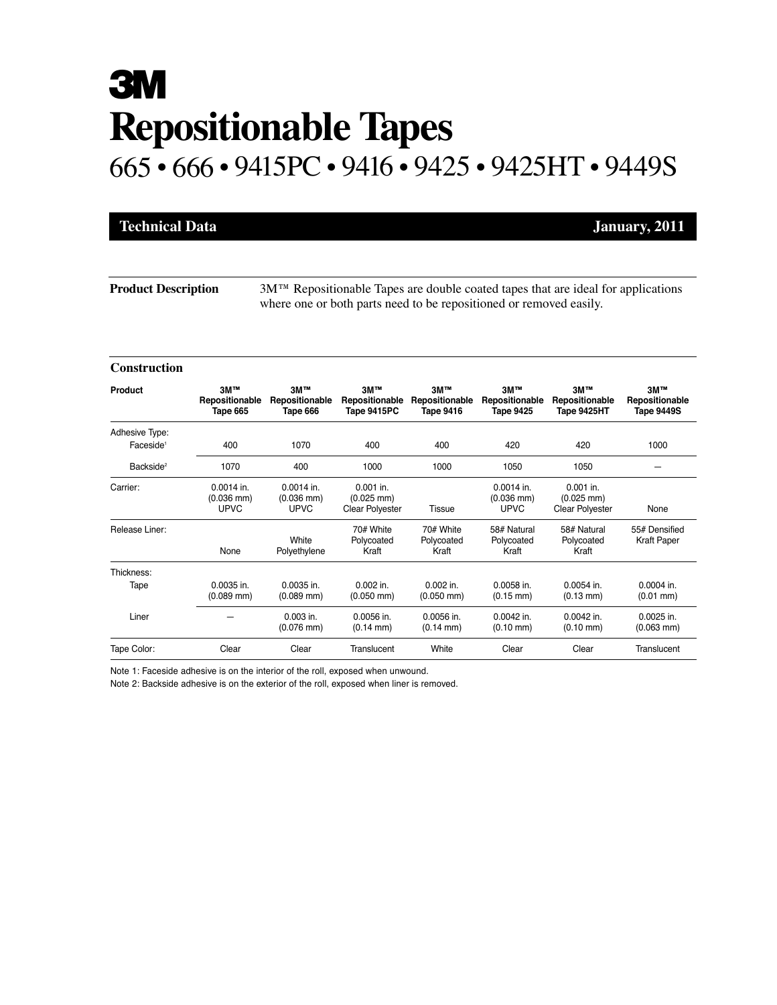# **3M Repositionable Tapes** 665 • 666 • 9415PC • 9416 • 9425 • 9425HT • 9449S

| <b>Technical Data</b> |  |  |
|-----------------------|--|--|
|                       |  |  |

**January, 2011** 

**Product Description** 3M™ Repositionable Tapes are double coated tapes that are ideal for applications where one or both parts need to be repositioned or removed easily.

#### **Construction**

| Product               | 3M™<br>Repositionable<br>Tape 665              | 3M™<br>Repositionable<br>Tape 666           | 3M™<br>Repositionable<br>Tape 9415PC                          | <b>3M™</b><br>Repositionable<br><b>Tape 9416</b> | <b>3M™</b><br>Repositionable<br><b>Tape 9425</b> | <b>3M™</b><br>Repositionable<br>Tape 9425HT                   | 3M™<br>Repositionable<br><b>Tape 9449S</b> |
|-----------------------|------------------------------------------------|---------------------------------------------|---------------------------------------------------------------|--------------------------------------------------|--------------------------------------------------|---------------------------------------------------------------|--------------------------------------------|
| Adhesive Type:        |                                                |                                             |                                                               |                                                  |                                                  |                                                               |                                            |
| Faceside <sup>1</sup> | 400                                            | 1070                                        | 400                                                           | 400                                              | 420                                              | 420                                                           | 1000                                       |
| Backside <sup>2</sup> | 1070                                           | 400                                         | 1000                                                          | 1000                                             | 1050                                             | 1050                                                          |                                            |
| Carrier:              | $0.0014$ in.<br>$(0.036$ mm $)$<br><b>UPVC</b> | $0.0014$ in.<br>$(0.036$ mm)<br><b>UPVC</b> | $0.001$ in.<br>$(0.025 \text{ mm})$<br><b>Clear Polyester</b> | Tissue                                           | $0.0014$ in.<br>$(0.036$ mm)<br><b>UPVC</b>      | $0.001$ in.<br>$(0.025 \text{ mm})$<br><b>Clear Polyester</b> | None                                       |
| Release Liner:        | None                                           | White<br>Polyethylene                       | 70# White<br>Polycoated<br>Kraft                              | 70# White<br>Polycoated<br>Kraft                 | 58# Natural<br>Polycoated<br>Kraft               | 58# Natural<br>Polycoated<br>Kraft                            | 55# Densified<br><b>Kraft Paper</b>        |
| Thickness:            |                                                |                                             |                                                               |                                                  |                                                  |                                                               |                                            |
| Tape                  | $0.0035$ in.<br>$(0.089$ mm)                   | $0.0035$ in.<br>$(0.089$ mm $)$             | $0.002$ in.<br>$(0.050$ mm $)$                                | $0.002$ in.<br>$(0.050$ mm $)$                   | $0.0058$ in.<br>$(0.15 \text{ mm})$              | $0.0054$ in.<br>$(0.13 \text{ mm})$                           | $0.0004$ in.<br>$(0.01$ mm $)$             |
| Liner                 |                                                | $0.003$ in.<br>$(0.076$ mm $)$              | 0.0056 in.<br>$(0.14 \text{ mm})$                             | 0.0056 in.<br>$(0.14 \text{ mm})$                | 0.0042 in.<br>$(0.10 \text{ mm})$                | 0.0042 in.<br>$(0.10 \text{ mm})$                             | 0.0025 in.<br>$(0.063$ mm $)$              |
| Tape Color:           | Clear                                          | Clear                                       | Translucent                                                   | White                                            | Clear                                            | Clear                                                         | Translucent                                |

Note 1: Faceside adhesive is on the interior of the roll, exposed when unwound.

Note 2: Backside adhesive is on the exterior of the roll, exposed when liner is removed.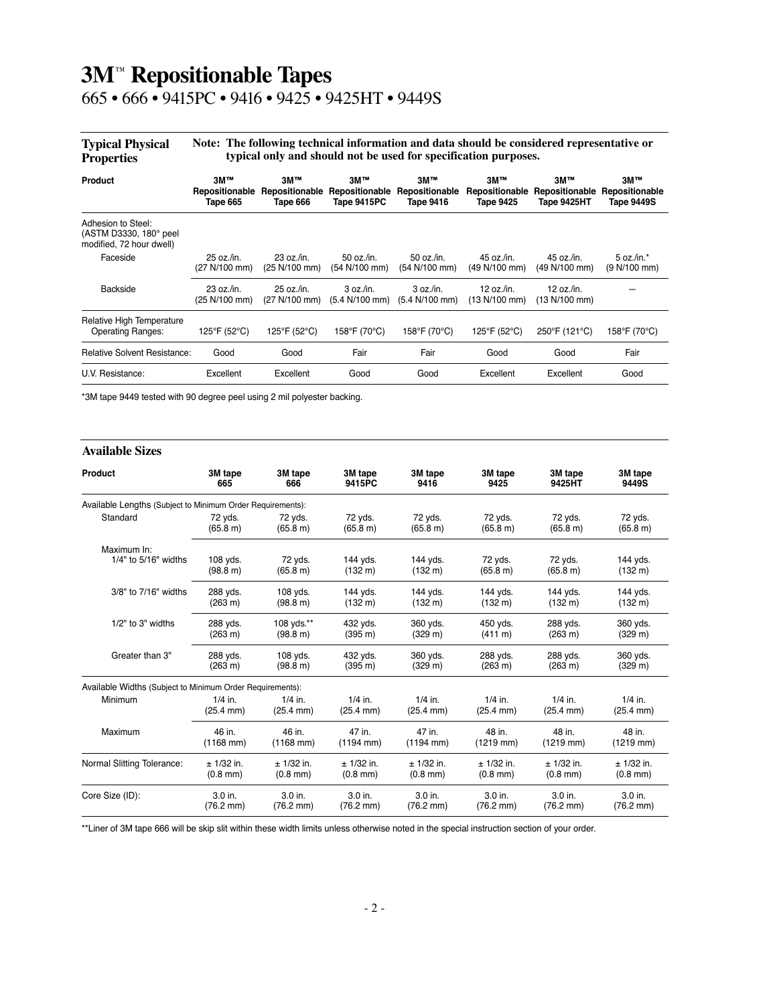## **3M**™ **Repositionable Tapes**

665 • 666 • 9415PC • 9416 • 9425 • 9425HT • 9449S

| <b>Typical Physical</b> | Note: The following technical information and data should be considered representative or |
|-------------------------|-------------------------------------------------------------------------------------------|
| Properties              | typical only and should not be used for specification purposes.                           |

| Product                                                                  | <b>3M™</b><br>Repositionable<br>Tape 665 | <b>3M™</b><br>Repositionable<br>Tape 666 | 3M™<br>Repositionable<br>Tape 9415PC | <b>3M™</b><br>Repositionable<br>Tape 9416 | <b>3M™</b><br>Repositionable<br><b>Tape 9425</b> | <b>3M™</b><br>Repositionable<br>Tape 9425HT | 3M™<br>Repositionable<br><b>Tape 9449S</b> |
|--------------------------------------------------------------------------|------------------------------------------|------------------------------------------|--------------------------------------|-------------------------------------------|--------------------------------------------------|---------------------------------------------|--------------------------------------------|
| Adhesion to Steel:<br>(ASTM D3330, 180° peel<br>modified, 72 hour dwell) |                                          |                                          |                                      |                                           |                                                  |                                             |                                            |
| Faceside                                                                 | $25$ oz./in.<br>(27 N/100 mm)            | 23 oz/in.<br>(25 N/100 mm)               | 50 oz./in.<br>(54 N/100 mm)          | 50 oz./in.<br>(54 N/100 mm)               | 45 oz./in.<br>(49 N/100 mm)                      | 45 oz./in.<br>(49 N/100 mm)                 | $5$ oz./in. $*$<br>(9 N/100 mm)            |
| Backside                                                                 | 23 oz./in.<br>(25 N/100 mm)              | 25 oz./in.<br>(27 N/100 mm)              | 3 oz/in.<br>(5.4 N/100 mm)           | 3 oz/in.<br>(5.4 N/100 mm)                | 12 oz./in.<br>(13 N/100 mm)                      | $12$ oz./in.<br>(13 N/100 mm)               |                                            |
| Relative High Temperature<br><b>Operating Ranges:</b>                    | 125°F (52°C)                             | 125°F (52°C)                             | 158°F (70°C)                         | 158°F (70°C)                              | 125°F (52°C)                                     | 250°F (121°C)                               | 158°F (70°C)                               |
| <b>Relative Solvent Resistance:</b>                                      | Good                                     | Good                                     | Fair                                 | Fair                                      | Good                                             | Good                                        | Fair                                       |
| U.V. Resistance:                                                         | Excellent                                | Excellent                                | Good                                 | Good                                      | Excellent                                        | Excellent                                   | Good                                       |

\*3M tape 9449 tested with 90 degree peel using 2 mil polyester backing.

#### **Available Sizes**

| Product                                                    | 3M tape             | 3M tape               | 3M tape               | 3M tape               | 3M tape               | 3M tape              | 3M tape               |
|------------------------------------------------------------|---------------------|-----------------------|-----------------------|-----------------------|-----------------------|----------------------|-----------------------|
|                                                            | 665                 | 666                   | 9415PC                | 9416                  | 9425                  | 9425HT               | 9449S                 |
| Available Lengths (Subject to Minimum Order Requirements): |                     |                       |                       |                       |                       |                      |                       |
| Standard                                                   | 72 yds.             | 72 yds.               | 72 yds.               | 72 yds.               | 72 yds.               | 72 yds.              | 72 yds.               |
|                                                            | (65.8 m)            | (65.8 m)              | (65.8 m)              | (65.8 m)              | (65.8 m)              | (65.8 m)             | (65.8 m)              |
| Maximum In:                                                |                     |                       |                       |                       |                       |                      |                       |
| 1/4" to 5/16" widths                                       | 108 yds.            | 72 yds.               | 144 yds.              | 144 yds.              | 72 yds.               | 72 yds.              | 144 yds.              |
|                                                            | (98.8 m)            | (65.8 m)              | (132 m)               | (132 m)               | (65.8 m)              | (65.8 m)             | (132 m)               |
| 3/8" to 7/16" widths                                       | 288 yds.            | 108 yds.              | 144 yds.              | 144 yds.              | 144 yds.              | 144 yds.             | 144 yds.              |
|                                                            | (263 m)             | (98.8 m)              | (132 m)               | (132 m)               | (132 m)               | (132 m)              | (132 m)               |
| 1/2" to 3" widths                                          | 288 yds.            | 108 yds.**            | 432 yds.              | 360 yds.              | 450 yds.              | 288 yds.             | 360 yds.              |
|                                                            | (263 m)             | (98.8 m)              | (395 m)               | (329 m)               | $(411 \text{ m})$     | (263 m)              | (329 m)               |
| Greater than 3"                                            | 288 yds.            | 108 yds.              | 432 yds.              | 360 yds.              | 288 yds.              | 288 yds.             | 360 yds.              |
|                                                            | (263 m)             | (98.8 m)              | (395 m)               | (329 m)               | (263 m)               | (263 m)              | (329 m)               |
| Available Widths (Subject to Minimum Order Requirements):  |                     |                       |                       |                       |                       |                      |                       |
| Minimum                                                    | $1/4$ in.           | $1/4$ in.             | $1/4$ in.             | $1/4$ in.             | $1/4$ in.             | $1/4$ in.            | $1/4$ in.             |
|                                                            | $(25.4 \text{ mm})$ | $(25.4 \, \text{mm})$ | $(25.4 \, \text{mm})$ | $(25.4 \text{ mm})$   | $(25.4 \, \text{mm})$ | $(25.4 \text{ mm})$  | $(25.4 \, \text{mm})$ |
| Maximum                                                    | 46 in.              | 46 in.                | 47 in.                | 47 in.                | 48 in.                | 48 in.               | 48 in.                |
|                                                            | $(1168$ mm)         | $(1168$ mm)           | $(1194$ mm)           | $(1194 \, \text{mm})$ | $(1219$ mm)           | $(1219$ mm)          | $(1219$ mm)           |
| Normal Slitting Tolerance:                                 | $± 1/32$ in.        | $± 1/32$ in.          | $± 1/32$ in.          | $± 1/32$ in.          | $± 1/32$ in.          | $± 1/32$ in.         | $± 1/32$ in.          |
|                                                            | $(0.8 \text{ mm})$  | $(0.8$ mm)            | $(0.8 \text{ mm})$    | $(0.8 \, \text{mm})$  | $(0.8 \text{ mm})$    | $(0.8 \, \text{mm})$ | $(0.8$ mm $)$         |
| Core Size (ID):                                            | 3.0 in.             | 3.0 in.               | 3.0 in.               | 3.0 in.               | 3.0 in.               | 3.0 in.              | 3.0 in.               |
|                                                            | $(76.2 \text{ mm})$ | $(76.2 \text{ mm})$   | $(76.2 \text{ mm})$   | $(76.2 \text{ mm})$   | $(76.2 \text{ mm})$   | $(76.2 \text{ mm})$  | $(76.2 \text{ mm})$   |

\*\*Liner of 3M tape 666 will be skip slit within these width limits unless otherwise noted in the special instruction section of your order.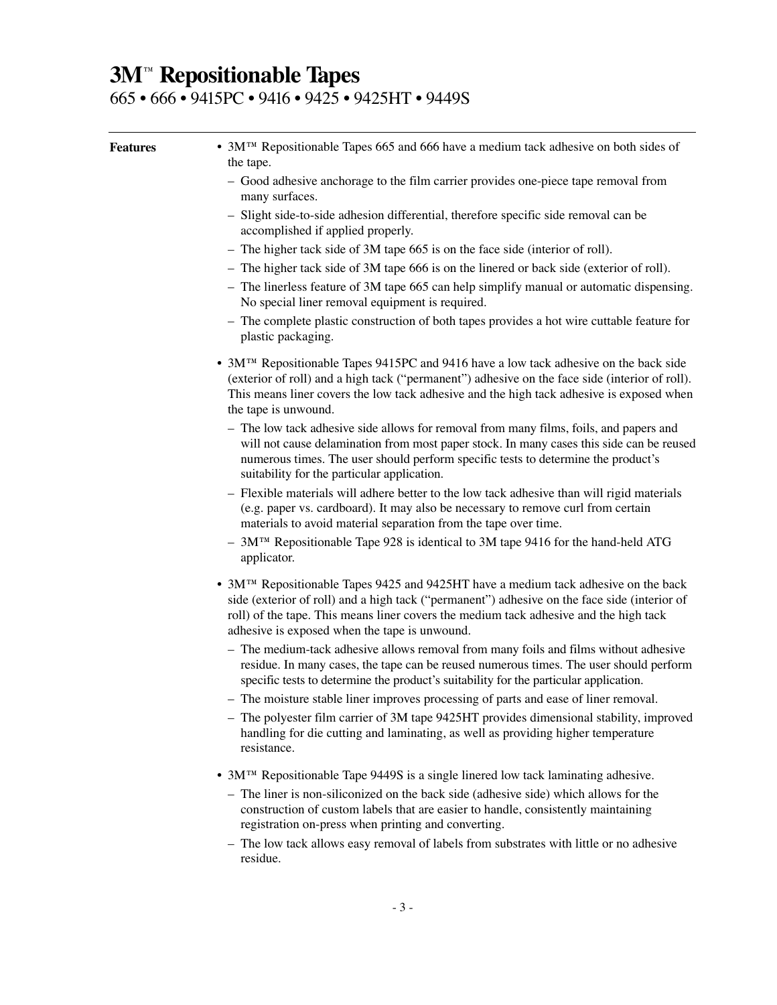### **3M**™ **Repositionable Tapes**

665 • 666 • 9415PC • 9416 • 9425 • 9425HT • 9449S

| <b>Features</b> | • 3M <sup>™</sup> Repositionable Tapes 665 and 666 have a medium tack adhesive on both sides of<br>the tape.                                                                                                                                                                                                                              |
|-----------------|-------------------------------------------------------------------------------------------------------------------------------------------------------------------------------------------------------------------------------------------------------------------------------------------------------------------------------------------|
|                 | - Good adhesive anchorage to the film carrier provides one-piece tape removal from<br>many surfaces.                                                                                                                                                                                                                                      |
|                 | - Slight side-to-side adhesion differential, therefore specific side removal can be<br>accomplished if applied properly.                                                                                                                                                                                                                  |
|                 | - The higher tack side of 3M tape 665 is on the face side (interior of roll).                                                                                                                                                                                                                                                             |
|                 | - The higher tack side of 3M tape 666 is on the linered or back side (exterior of roll).                                                                                                                                                                                                                                                  |
|                 | - The linerless feature of 3M tape 665 can help simplify manual or automatic dispensing.<br>No special liner removal equipment is required.                                                                                                                                                                                               |
|                 | - The complete plastic construction of both tapes provides a hot wire cuttable feature for<br>plastic packaging.                                                                                                                                                                                                                          |
|                 | • $3MTM$ Repositionable Tapes 9415PC and 9416 have a low tack adhesive on the back side<br>(exterior of roll) and a high tack ("permanent") adhesive on the face side (interior of roll).<br>This means liner covers the low tack adhesive and the high tack adhesive is exposed when<br>the tape is unwound.                             |
|                 | - The low tack adhesive side allows for removal from many films, foils, and papers and<br>will not cause delamination from most paper stock. In many cases this side can be reused<br>numerous times. The user should perform specific tests to determine the product's<br>suitability for the particular application.                    |
|                 | - Flexible materials will adhere better to the low tack adhesive than will rigid materials<br>(e.g. paper vs. cardboard). It may also be necessary to remove curl from certain<br>materials to avoid material separation from the tape over time.                                                                                         |
|                 | - 3M <sup>TM</sup> Repositionable Tape 928 is identical to 3M tape 9416 for the hand-held ATG<br>applicator.                                                                                                                                                                                                                              |
|                 | • 3M <sup>TM</sup> Repositionable Tapes 9425 and 9425HT have a medium tack adhesive on the back<br>side (exterior of roll) and a high tack ("permanent") adhesive on the face side (interior of<br>roll) of the tape. This means liner covers the medium tack adhesive and the high tack<br>adhesive is exposed when the tape is unwound. |
|                 | - The medium-tack adhesive allows removal from many foils and films without adhesive<br>residue. In many cases, the tape can be reused numerous times. The user should perform<br>specific tests to determine the product's suitability for the particular application.                                                                   |
|                 | - The moisture stable liner improves processing of parts and ease of liner removal.                                                                                                                                                                                                                                                       |
|                 | - The polyester film carrier of 3M tape 9425HT provides dimensional stability, improved<br>handling for die cutting and laminating, as well as providing higher temperature<br>resistance.                                                                                                                                                |
|                 | • 3M <sup>TM</sup> Repositionable Tape 9449S is a single linered low tack laminating adhesive.                                                                                                                                                                                                                                            |
|                 | - The liner is non-siliconized on the back side (adhesive side) which allows for the<br>construction of custom labels that are easier to handle, consistently maintaining<br>registration on-press when printing and converting.                                                                                                          |
|                 | - The low tack allows easy removal of labels from substrates with little or no adhesive<br>residue.                                                                                                                                                                                                                                       |
|                 |                                                                                                                                                                                                                                                                                                                                           |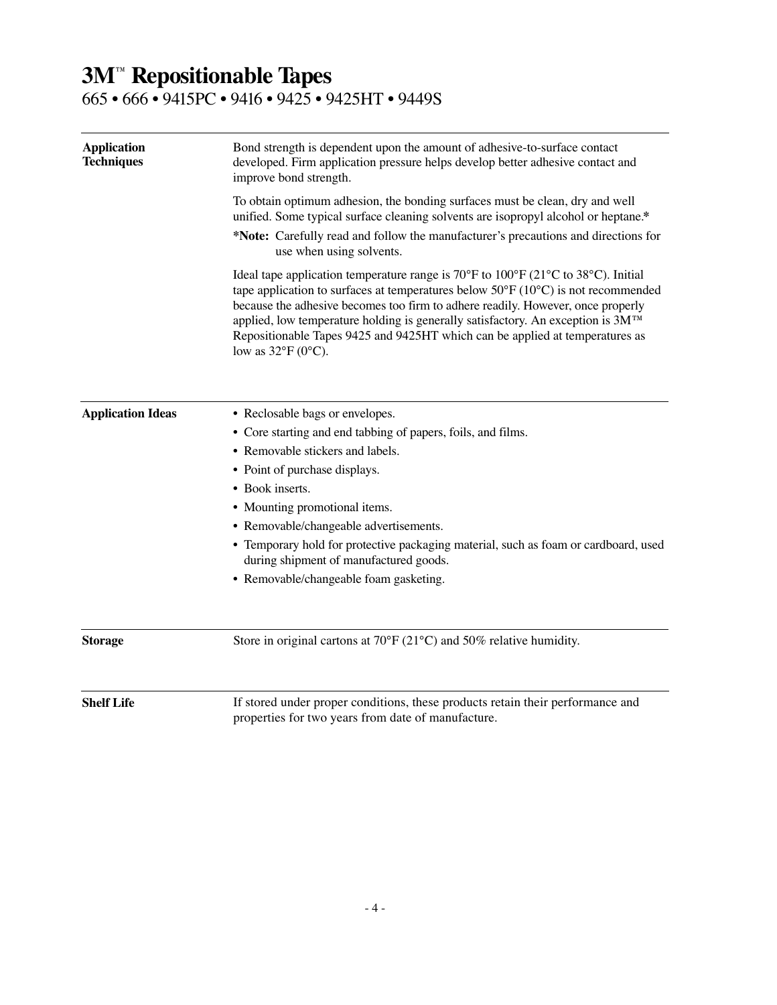### **3M**™ **Repositionable Tapes**

#### 665 • 666 • 9415PC • 9416 • 9425 • 9425HT • 9449S

| <b>Application</b><br><b>Techniques</b> | Bond strength is dependent upon the amount of adhesive-to-surface contact<br>developed. Firm application pressure helps develop better adhesive contact and<br>improve bond strength.                                                                                                                                                                                                                                                                                                                                                  |  |  |  |  |  |
|-----------------------------------------|----------------------------------------------------------------------------------------------------------------------------------------------------------------------------------------------------------------------------------------------------------------------------------------------------------------------------------------------------------------------------------------------------------------------------------------------------------------------------------------------------------------------------------------|--|--|--|--|--|
|                                         | To obtain optimum adhesion, the bonding surfaces must be clean, dry and well<br>unified. Some typical surface cleaning solvents are isopropyl alcohol or heptane.*                                                                                                                                                                                                                                                                                                                                                                     |  |  |  |  |  |
|                                         | *Note: Carefully read and follow the manufacturer's precautions and directions for<br>use when using solvents.                                                                                                                                                                                                                                                                                                                                                                                                                         |  |  |  |  |  |
|                                         | Ideal tape application temperature range is 70 $\degree$ F to 100 $\degree$ F (21 $\degree$ C to 38 $\degree$ C). Initial<br>tape application to surfaces at temperatures below $50^{\circ}F(10^{\circ}C)$ is not recommended<br>because the adhesive becomes too firm to adhere readily. However, once properly<br>applied, low temperature holding is generally satisfactory. An exception is 3M <sup>TM</sup><br>Repositionable Tapes 9425 and 9425HT which can be applied at temperatures as<br>low as $32^{\circ}F(0^{\circ}C)$ . |  |  |  |  |  |
| <b>Application Ideas</b>                | • Reclosable bags or envelopes.                                                                                                                                                                                                                                                                                                                                                                                                                                                                                                        |  |  |  |  |  |
|                                         | • Core starting and end tabbing of papers, foils, and films.                                                                                                                                                                                                                                                                                                                                                                                                                                                                           |  |  |  |  |  |
|                                         | • Removable stickers and labels.                                                                                                                                                                                                                                                                                                                                                                                                                                                                                                       |  |  |  |  |  |
|                                         | • Point of purchase displays.                                                                                                                                                                                                                                                                                                                                                                                                                                                                                                          |  |  |  |  |  |
|                                         | • Book inserts.                                                                                                                                                                                                                                                                                                                                                                                                                                                                                                                        |  |  |  |  |  |
|                                         | • Mounting promotional items.                                                                                                                                                                                                                                                                                                                                                                                                                                                                                                          |  |  |  |  |  |
|                                         | • Removable/changeable advertisements.                                                                                                                                                                                                                                                                                                                                                                                                                                                                                                 |  |  |  |  |  |
|                                         | • Temporary hold for protective packaging material, such as foam or cardboard, used<br>during shipment of manufactured goods.                                                                                                                                                                                                                                                                                                                                                                                                          |  |  |  |  |  |
|                                         | • Removable/changeable foam gasketing.                                                                                                                                                                                                                                                                                                                                                                                                                                                                                                 |  |  |  |  |  |
| <b>Storage</b>                          | Store in original cartons at $70^{\circ}F(21^{\circ}C)$ and $50\%$ relative humidity.                                                                                                                                                                                                                                                                                                                                                                                                                                                  |  |  |  |  |  |
| <b>Shelf Life</b>                       | If stored under proper conditions, these products retain their performance and<br>properties for two years from date of manufacture.                                                                                                                                                                                                                                                                                                                                                                                                   |  |  |  |  |  |